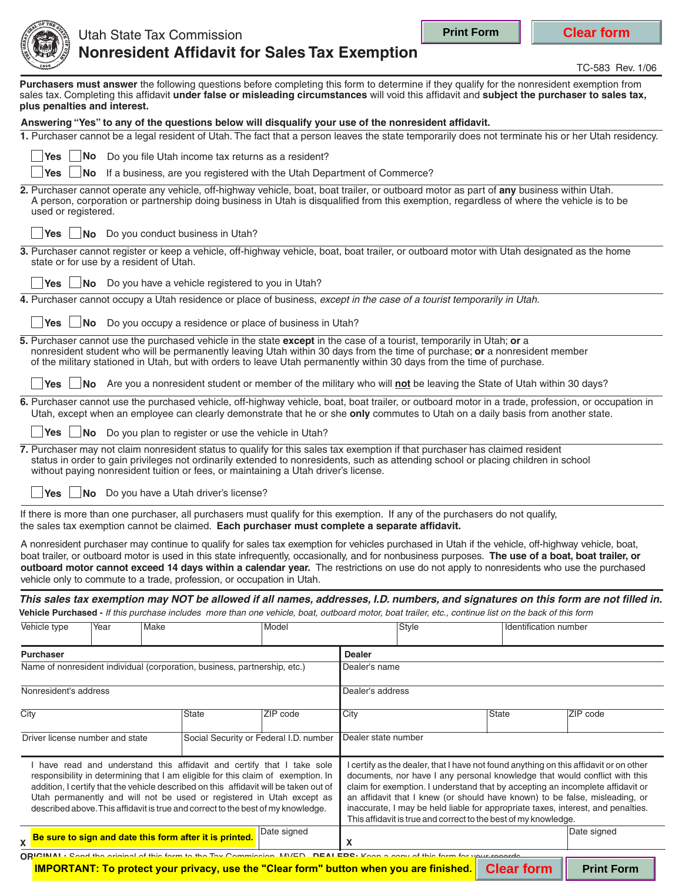I certify as the dealer, that I have not found anything on this affidavit or on other documents, nor have I any personal knowledge that would conflict with this claim for exemption. I understand that by accepting an incomplete affidavit or an affidavit that I knew (or should have known) to be false, misleading, or

**Print Form Clear form**



## **Nonresident Affidavit for Sales Tax Exemption** Utah State Tax Commission

TC-583 Rev. 1/06

| plus penalties and interest.    |                                         |                                                                                                                                       |          |                     | Purchasers must answer the following questions before completing this form to determine if they qualify for the nonresident exemption from<br>sales tax. Completing this affidavit under false or misleading circumstances will void this affidavit and subject the purchaser to sales tax,                                                                                                                                                         |                              |                                                                                                                                                    |
|---------------------------------|-----------------------------------------|---------------------------------------------------------------------------------------------------------------------------------------|----------|---------------------|-----------------------------------------------------------------------------------------------------------------------------------------------------------------------------------------------------------------------------------------------------------------------------------------------------------------------------------------------------------------------------------------------------------------------------------------------------|------------------------------|----------------------------------------------------------------------------------------------------------------------------------------------------|
|                                 |                                         |                                                                                                                                       |          |                     | Answering "Yes" to any of the questions below will disqualify your use of the nonresident affidavit.                                                                                                                                                                                                                                                                                                                                                |                              |                                                                                                                                                    |
|                                 |                                         |                                                                                                                                       |          |                     |                                                                                                                                                                                                                                                                                                                                                                                                                                                     |                              | 1. Purchaser cannot be a legal resident of Utah. The fact that a person leaves the state temporarily does not terminate his or her Utah residency. |
| Yes                             |                                         | No Do you file Utah income tax returns as a resident?                                                                                 |          |                     |                                                                                                                                                                                                                                                                                                                                                                                                                                                     |                              |                                                                                                                                                    |
| Yes                             |                                         | No If a business, are you registered with the Utah Department of Commerce?                                                            |          |                     |                                                                                                                                                                                                                                                                                                                                                                                                                                                     |                              |                                                                                                                                                    |
| used or registered.             |                                         |                                                                                                                                       |          |                     | 2. Purchaser cannot operate any vehicle, off-highway vehicle, boat, boat trailer, or outboard motor as part of any business within Utah.<br>A person, corporation or partnership doing business in Utah is disqualified from this exemption, regardless of where the vehicle is to be                                                                                                                                                               |                              |                                                                                                                                                    |
|                                 |                                         | <b>Yes</b> $\Box$ <b>No</b> Do you conduct business in Utah?                                                                          |          |                     |                                                                                                                                                                                                                                                                                                                                                                                                                                                     |                              |                                                                                                                                                    |
|                                 | state or for use by a resident of Utah. |                                                                                                                                       |          |                     | 3. Purchaser cannot register or keep a vehicle, off-highway vehicle, boat, boat trailer, or outboard motor with Utah designated as the home                                                                                                                                                                                                                                                                                                         |                              |                                                                                                                                                    |
| <b>Yes</b>                      |                                         | No Do you have a vehicle registered to you in Utah?                                                                                   |          |                     |                                                                                                                                                                                                                                                                                                                                                                                                                                                     |                              |                                                                                                                                                    |
|                                 |                                         |                                                                                                                                       |          |                     | 4. Purchaser cannot occupy a Utah residence or place of business, except in the case of a tourist temporarily in Utah.                                                                                                                                                                                                                                                                                                                              |                              |                                                                                                                                                    |
| Yes                             |                                         | $\sqrt{NQ}$ Do you occupy a residence or place of business in Utah?                                                                   |          |                     |                                                                                                                                                                                                                                                                                                                                                                                                                                                     |                              |                                                                                                                                                    |
|                                 |                                         |                                                                                                                                       |          |                     | 5. Purchaser cannot use the purchased vehicle in the state except in the case of a tourist, temporarily in Utah; or a<br>nonresident student who will be permanently leaving Utah within 30 days from the time of purchase; or a nonresident member<br>of the military stationed in Utah, but with orders to leave Utah permanently within 30 days from the time of purchase.                                                                       |                              |                                                                                                                                                    |
| <b>Yes</b>                      |                                         |                                                                                                                                       |          |                     | No Are you a nonresident student or member of the military who will not be leaving the State of Utah within 30 days?                                                                                                                                                                                                                                                                                                                                |                              |                                                                                                                                                    |
|                                 |                                         |                                                                                                                                       |          |                     | Utah, except when an employee can clearly demonstrate that he or she only commutes to Utah on a daily basis from another state.                                                                                                                                                                                                                                                                                                                     |                              | 6. Purchaser cannot use the purchased vehicle, off-highway vehicle, boat, boat trailer, or outboard motor in a trade, profession, or occupation in |
|                                 |                                         | <b>Yes</b> $\Box$ <b>No</b> Do you plan to register or use the vehicle in Utah?                                                       |          |                     |                                                                                                                                                                                                                                                                                                                                                                                                                                                     |                              |                                                                                                                                                    |
| Yes $ $                         |                                         | without paying nonresident tuition or fees, or maintaining a Utah driver's license.<br>$\Box$ No Do you have a Utah driver's license? |          |                     | 7. Purchaser may not claim nonresident status to qualify for this sales tax exemption if that purchaser has claimed resident<br>status in order to gain privileges not ordinarily extended to nonresidents, such as attending school or placing children in school                                                                                                                                                                                  |                              |                                                                                                                                                    |
|                                 |                                         | the sales tax exemption cannot be claimed. Each purchaser must complete a separate affidavit.                                         |          |                     | If there is more than one purchaser, all purchasers must qualify for this exemption. If any of the purchasers do not qualify,                                                                                                                                                                                                                                                                                                                       |                              |                                                                                                                                                    |
|                                 |                                         | vehicle only to commute to a trade, profession, or occupation in Utah.                                                                |          |                     | A nonresident purchaser may continue to qualify for sales tax exemption for vehicles purchased in Utah if the vehicle, off-highway vehicle, boat,<br>boat trailer, or outboard motor is used in this state infrequently, occasionally, and for nonbusiness purposes. The use of a boat, boat trailer, or<br>outboard motor cannot exceed 14 days within a calendar year. The restrictions on use do not apply to nonresidents who use the purchased |                              |                                                                                                                                                    |
|                                 |                                         |                                                                                                                                       |          |                     | Vehicle Purchased - If this purchase includes more than one vehicle, boat, outboard motor, boat trailer, etc., continue list on the back of this form                                                                                                                                                                                                                                                                                               |                              | This sales tax exemption may NOT be allowed if all names, addresses, I.D. numbers, and signatures on this form are not filled in.                  |
| Vehicle type                    | Year<br>Make                            |                                                                                                                                       | Model    |                     | Style                                                                                                                                                                                                                                                                                                                                                                                                                                               | <b>Identification number</b> |                                                                                                                                                    |
| <b>Purchaser</b>                |                                         |                                                                                                                                       |          | <b>Dealer</b>       |                                                                                                                                                                                                                                                                                                                                                                                                                                                     |                              |                                                                                                                                                    |
|                                 |                                         | Name of nonresident individual (corporation, business, partnership, etc.)                                                             |          | Dealer's name       |                                                                                                                                                                                                                                                                                                                                                                                                                                                     |                              |                                                                                                                                                    |
| Nonresident's address           |                                         |                                                                                                                                       |          | Dealer's address    |                                                                                                                                                                                                                                                                                                                                                                                                                                                     |                              |                                                                                                                                                    |
| City                            |                                         | State                                                                                                                                 | ZIP code | City                |                                                                                                                                                                                                                                                                                                                                                                                                                                                     | State                        | ZIP code                                                                                                                                           |
| Driver license number and state |                                         | Social Security or Federal I.D. number                                                                                                |          | Dealer state number |                                                                                                                                                                                                                                                                                                                                                                                                                                                     |                              |                                                                                                                                                    |

described above.This affidavit is true and correct to the best of my knowledge. inaccurate, I may be held liable for appropriate taxes, interest, and penalties. This affidavit is true and correct to the best of my knowledge. Date signed **Date signed Date signed Date signed**  $\chi$  **Be sure to sign and date this form after it is printed.**  $\begin{bmatrix} \text{base sign} \\ \text{sum sign} \end{bmatrix} \chi$ **ORIGINAL:** Send the original of this form to the Tay Commission, MVED, DEALERS: Keep a copy of this form for your records **IMPORTANT: To protect your privacy, use the "Clear form" button when you are finished. Clear form | Print Form** 

I have read and understand this affidavit and certify that I take sole responsibility in determining that I am eligible for this claim of exemption. In addition, I certify that the vehicle described on this affidavit will be taken out of Utah permanently and will not be used or registered in Utah except as